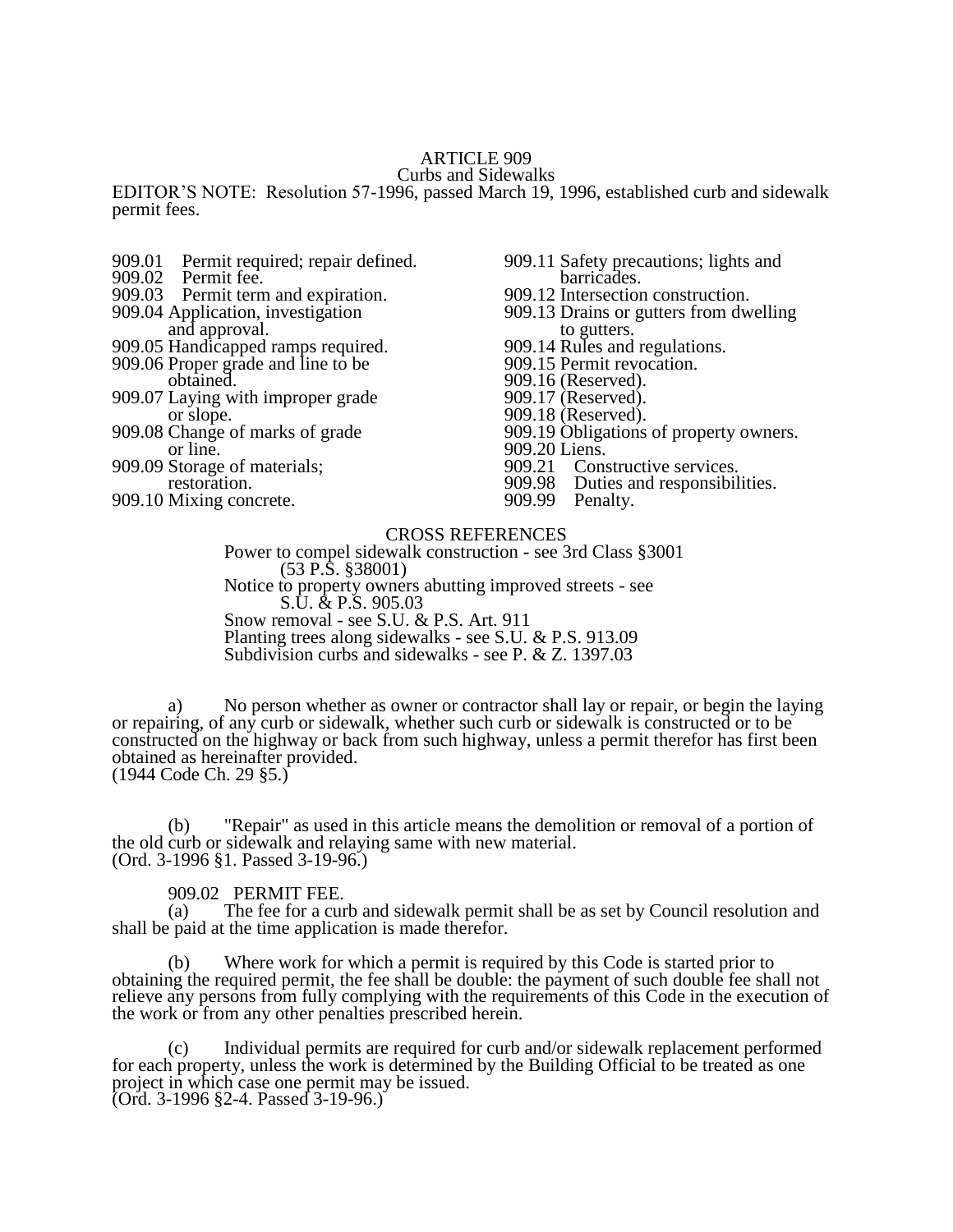# ARTICLE 909

Curbs and Sidewalks

EDITOR'S NOTE: Resolution 57-1996, passed March 19, 1996, established curb and sidewalk permit fees.

- 909.01 Permit required; repair defined.<br>909.02 Permit fee.
- Permit fee.
- 909.03 Permit term and expiration.
- 909.04 Application, investigation and approval.
- 909.05 Handicapped ramps required.
- 909.06 Proper grade and line to be obtained.
- 909.07 Laying with improper grade or slope.
- 909.08 Change of marks of grade or line.
- 909.09 Storage of materials; restoration.
- 909.10 Mixing concrete.
- 909.11 Safety precautions; lights and barricades.
- 909.12 Intersection construction.
- 909.13 Drains or gutters from dwelling to gutters.
- 909.14 Rules and regulations.
- 909.15 Permit revocation.
- 909.16 (Reserved).
- 909.17 (Reserved).
- 909.18 (Reserved).
- 909.19 Obligations of property owners.
- 909.20 Liens.<br>909.21 Cons
- 909.21 Constructive services.<br>909.98 Duties and responsibil
- 909.98 Duties and responsibilities.<br>909.99 Penalty.
- Penalty.

### CROSS REFERENCES

Power to compel sidewalk construction - see 3rd Class §3001 (53 P.S. §38001) Notice to property owners abutting improved streets - see S.U. & P.S. 905.03 Snow removal - see S.U. & P.S. Art. 911 Planting trees along sidewalks - see S.U. & P.S. 913.09 Subdivision curbs and sidewalks - see P. & Z. 1397.03

a) No person whether as owner or contractor shall lay or repair, or begin the laying or repairing, of any curb or sidewalk, whether such curb or sidewalk is constructed or to be constructed on the highway or back from such highway, unless a permit therefor has first been obtained as hereinafter provided. (1944 Code Ch. 29 §5.)

(b) "Repair" as used in this article means the demolition or removal of a portion of the old curb or sidewalk and relaying same with new material. (Ord. 3-1996 §1. Passed 3-19-96.)

909.02 PERMIT FEE.

(a) The fee for a curb and sidewalk permit shall be as set by Council resolution and shall be paid at the time application is made therefor.

(b) Where work for which a permit is required by this Code is started prior to obtaining the required permit, the fee shall be double: the payment of such double fee shall not relieve any persons from fully complying with the requirements of this Code in the execution of the work or from any other penalties prescribed herein.

(c) Individual permits are required for curb and/or sidewalk replacement performed for each property, unless the work is determined by the Building Official to be treated as one project in which case one permit may be issued.

(Ord. 3-1996 §2-4. Passed 3-19-96.)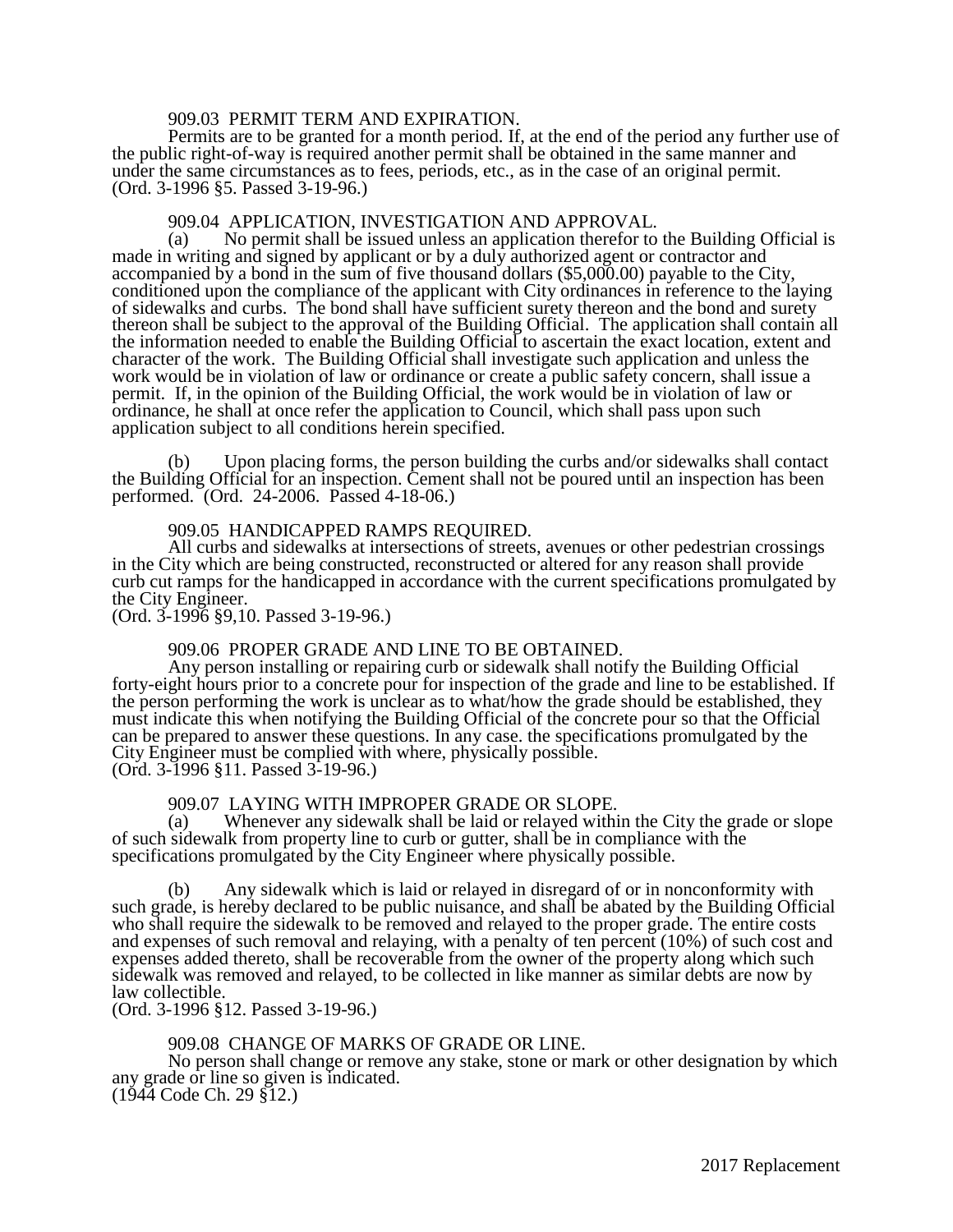### 909.03 PERMIT TERM AND EXPIRATION.

Permits are to be granted for a month period. If, at the end of the period any further use of the public right-of-way is required another permit shall be obtained in the same manner and under the same circumstances as to fees, periods, etc., as in the case of an original permit. (Ord. 3-1996 §5. Passed 3-19-96.)

# 909.04 APPLICATION, INVESTIGATION AND APPROVAL.<br>(a) No permit shall be issued unless an application therefor to

No permit shall be issued unless an application therefor to the Building Official is made in writing and signed by applicant or by a duly authorized agent or contractor and accompanied by a bond in the sum of five thousand dollars (\$5,000.00) payable to the City, conditioned upon the compliance of the applicant with City ordinances in reference to the laying of sidewalks and curbs. The bond shall have sufficient surety thereon and the bond and surety thereon shall be subject to the approval of the Building Official. The application shall contain all the information needed to enable the Building Official to ascertain the exact location, extent and character of the work. The Building Official shall investigate such application and unless the work would be in violation of law or ordinance or create a public safety concern, shall issue a permit. If, in the opinion of the Building Official, the work would be in violation of law or ordinance, he shall at once refer the application to Council, which shall pass upon such application subject to all conditions herein specified.

(b) Upon placing forms, the person building the curbs and/or sidewalks shall contact the Building Official for an inspection. Cement shall not be poured until an inspection has been performed. (Ord. 24-2006. Passed 4-18-06.)

#### 909.05 HANDICAPPED RAMPS REQUIRED.

All curbs and sidewalks at intersections of streets, avenues or other pedestrian crossings in the City which are being constructed, reconstructed or altered for any reason shall provide curb cut ramps for the handicapped in accordance with the current specifications promulgated by the City Engineer.

(Ord. 3-1996 §9,10. Passed 3-19-96.)

#### 909.06 PROPER GRADE AND LINE TO BE OBTAINED.

Any person installing or repairing curb or sidewalk shall notify the Building Official forty-eight hours prior to a concrete pour for inspection of the grade and line to be established. If the person performing the work is unclear as to what/how the grade should be established, they must indicate this when notifying the Building Official of the concrete pour so that the Official can be prepared to answer these questions. In any case. the specifications promulgated by the City Engineer must be complied with where, physically possible. (Ord. 3-1996 §11. Passed 3-19-96.)

# 909.07 LAYING WITH IMPROPER GRADE OR SLOPE.<br>(a) Whenever any sidewalk shall be laid or relaved withi

Whenever any sidewalk shall be laid or relayed within the City the grade or slope of such sidewalk from property line to curb or gutter, shall be in compliance with the specifications promulgated by the City Engineer where physically possible.

(b) Any sidewalk which is laid or relayed in disregard of or in nonconformity with such grade, is hereby declared to be public nuisance, and shall be abated by the Building Official who shall require the sidewalk to be removed and relayed to the proper grade. The entire costs and expenses of such removal and relaying, with a penalty of ten percent (10%) of such cost and expenses added thereto, shall be recoverable from the owner of the property along which such sidewalk was removed and relayed, to be collected in like manner as similar debts are now by law collectible.

(Ord. 3-1996 §12. Passed 3-19-96.)

# 909.08 CHANGE OF MARKS OF GRADE OR LINE.

No person shall change or remove any stake, stone or mark or other designation by which any grade or line so given is indicated. (1944 Code Ch. 29 §12.)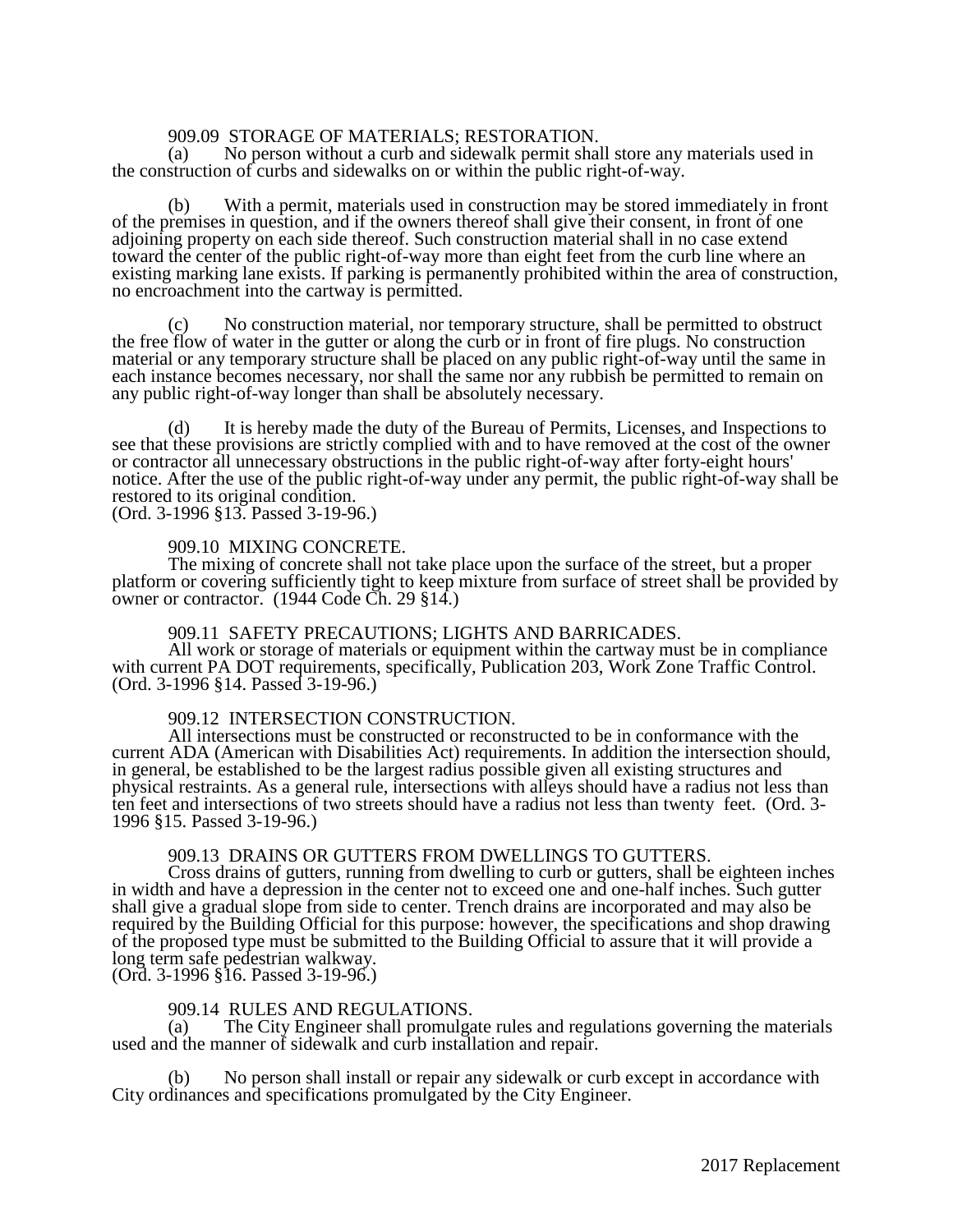# 909.09 STORAGE OF MATERIALS; RESTORATION.<br>(a) No person without a curb and sidewalk permit shall

No person without a curb and sidewalk permit shall store any materials used in the construction of curbs and sidewalks on or within the public right-of-way.

(b) With a permit, materials used in construction may be stored immediately in front of the premises in question, and if the owners thereof shall give their consent, in front of one adjoining property on each side thereof. Such construction material shall in no case extend toward the center of the public right-of-way more than eight feet from the curb line where an existing marking lane exists. If parking is permanently prohibited within the area of construction, no encroachment into the cartway is permitted.

(c) No construction material, nor temporary structure, shall be permitted to obstruct the free flow of water in the gutter or along the curb or in front of fire plugs. No construction material or any temporary structure shall be placed on any public right-of-way until the same in each instance becomes necessary, nor shall the same nor any rubbish be permitted to remain on any public right-of-way longer than shall be absolutely necessary.

(d) It is hereby made the duty of the Bureau of Permits, Licenses, and Inspections to see that these provisions are strictly complied with and to have removed at the cost of the owner or contractor all unnecessary obstructions in the public right-of-way after forty-eight hours' notice. After the use of the public right-of-way under any permit, the public right-of-way shall be restored to its original condition. (Ord. 3-1996 §13. Passed 3-19-96.)

#### 909.10 MIXING CONCRETE.

The mixing of concrete shall not take place upon the surface of the street, but a proper platform or covering sufficiently tight to keep mixture from surface of street shall be provided by owner or contractor. (1944 Code Ch. 29 §14.)

### 909.11 SAFETY PRECAUTIONS; LIGHTS AND BARRICADES.

All work or storage of materials or equipment within the cartway must be in compliance with current PA DOT requirements, specifically, Publication 203, Work Zone Traffic Control. (Ord. 3-1996 §14. Passed 3-19-96.)

#### 909.12 INTERSECTION CONSTRUCTION.

All intersections must be constructed or reconstructed to be in conformance with the current ADA (American with Disabilities Act) requirements. In addition the intersection should, in general, be established to be the largest radius possible given all existing structures and physical restraints. As a general rule, intersections with alleys should have a radius not less than ten feet and intersections of two streets should have a radius not less than twenty feet. (Ord. 3- 1996 §15. Passed 3-19-96.)

### 909.13 DRAINS OR GUTTERS FROM DWELLINGS TO GUTTERS.

Cross drains of gutters, running from dwelling to curb or gutters, shall be eighteen inches in width and have a depression in the center not to exceed one and one-half inches. Such gutter shall give a gradual slope from side to center. Trench drains are incorporated and may also be required by the Building Official for this purpose: however, the specifications and shop drawing of the proposed type must be submitted to the Building Official to assure that it will provide a long term safe pedestrian walkway.

(Ord. 3-1996 §16. Passed 3-19-96.)

# 909.14 RULES AND REGULATIONS.<br>(a) The City Engineer shall promulga

The City Engineer shall promulgate rules and regulations governing the materials used and the manner of sidewalk and curb installation and repair.

No person shall install or repair any sidewalk or curb except in accordance with City ordinances and specifications promulgated by the City Engineer.